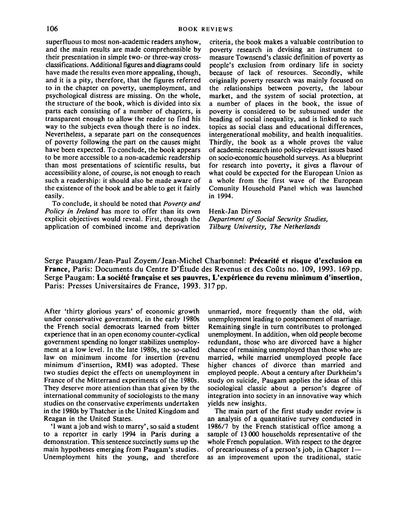superfluous to most non-academic readers anyhow, and the main results are made comprehensible by their presentation in simple two- or three-way crossclassifications. Additional figures and diagrams could have made the results even more appealing, though, and it is a pity, therefore, that the figures referred to in the chapter on poverty, unemployment, and psychological distress are missing. On the whole, the structure of the book, which is divided into six parts each consisting of a number of chapters, is transparent enough to allow the reader to find his way to the subjects even though there is no index. Nevertheless, a separate part on the consequences of poverty following the part on the causes might have been expected. To conclude, the book appears to be more accessible to a non-academic readership than most presentations of scientific results, but accessibility alone, of course, is not enough to reach such a readership: it should also be made aware of the existence of the book and be able to get it fairly easily.

To conclude, it should be noted that *Poverty and Policy in Ireland* has more to offer than its own explicit objectives would reveal. First, through the application of combined income and deprivation

criteria, the book makes a valuable contribution to poverty research in devising an instrument to measure Townsend's classic definition of poverty as people's exclusion from ordinary life in society because of lack of resources. Secondly, while originally poverty research was mainly focused on the relationships between poverty, the labour market, and the system of social protection, at a number of places in the book, the issue of poverty is considered to be subsumed under the heading of social inequality, and is linked to such topics as social class and educational differences, intergenerational mobility, and health inequalities. Thirdly, the book as a whole proves the value of academic research into policy-relevant issues based on socio-economic household surveys. As a blueprint for research into poverty, it gives a flavour of what could be expected for the European Union as a whole from the first wave of the European Comunity Household Panel which was launched in 1994.

Henk-Jan Dirven *Department of Social Security Studies, Tilburg University, The Netherlands*

Serge Paugam/Jean-Paul Zoyem/Jean-Michel Charbonnel: **Precarit£ et risque d'exclusion en** France, Paris: Documents du Centre D'Étude des Revenus et des Coûts no. 109, 1993. 169 pp. Serge Paugam: La société française et ses pauvres, L'expérience du revenu minimum d'insertion, Paris: Presses Universitaires de France, 1993. 317 pp.

After 'thirty glorious years' of economic growth under conservative government, in the early 1980s the French social democrats learned from bitter experience that in an open economy counter-cyclical government spending no longer stabilizes unemployment at a low level. In the late 1980s, the so-called law on minimum income for insertion (revenu minimum d'insertion, RMI) was adopted. These two studies depict the effects on unemployment in France of the Mitterrand experiments of the 1980s. They deserve more attention than that given by the international community of sociologists to the many studies on the conservative experiments undertaken in the 1980s by Thatcher in the United Kingdom and Reagan in the United States.

'I want a job and wish to marry', so said a student to a reporter in early 1994 in Paris during a demonstration. This sentence succinctly sums up the main hypotheses emerging from Paugam's studies. Unemployment hits the young, and therefore

unmarried, more frequently than the old, with unemployment leading to postponement of marriage. Remaining single in turn contributes to prolonged unemployment. In addition, when old people become redundant, those who are divorced have a higher chance of remaining unemployed than those who are married, while married unemployed people face higher chances of divorce than married and employed people. About a century after Durkheim's study on suicide, Paugam applies the ideas of this sociological classic about a person's degree of integration into society in an innovative way which yields new insights.

The main part of the first study under review is an analysis of a quantitative survey conducted in 1986/7 by the French statistical office among a sample of 13 000 households representative of the whole French population. With respect to the degree of precariousness of a person's job, in Chapter 1 as an improvement upon the traditional, static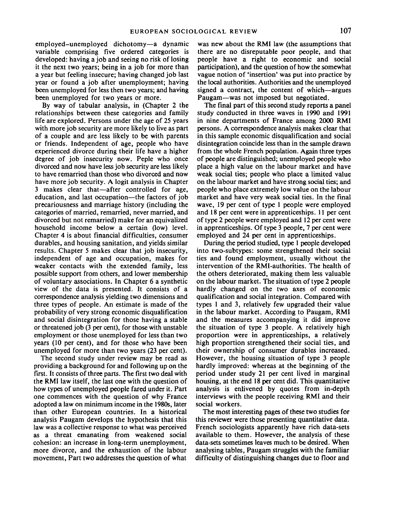employed-unemployed dichotomy—a dynamic variable comprising five ordered categories is developed: having a job and seeing no risk of losing it the next two years; being in a job for more than a year but feeling insecure; having changed job last year or found a job after unemployment; having been unemployed for less then two years; and having been unemployed for two years or more.

By way of tabular analysis, in (Chapter 2 the relationships between these categories and family life are explored. Persons under the age of 25 years with more job security are more likely to live as part of a couple and are less likely to be with parents or friends. Independent of age, people who have experienced divorce during their life have a higher degree of job insecurity now. Peple who once divorced and now have less job security are less likely to have remarried than those who divorced and now have more job security. A logit analysis in Chapter 3 makes clear that—after controlled for age, education, and last occupation—the factors of job precariousness and marriage history (including the categories of married, remarried, never married, and divorced but not remarried) make for an equivalized household income below a certain (low) level. Chapter 4 is about financial difficulties, consumer durables, and housing sanitation, and yields similar results. Chapter 5 makes clear that job insecurity, independent of age and occupation, makes for weaker contacts with the extended family, less possible support from others, and lower membership of voluntary associations. In Chapter 6 a synthetic view of the data is presented. It consists of a correspondence analysis yielding two dimensions and three types of people. An estimate is made of the probability of very strong economic disqualification and social disintegration for those having a stable or threatened job (3 per cent), for those with unstable employment or those unemployed for less than two years (10 per cent), and for those who have been unemployed for more than two years (23 per cent).

The second study under review may be read as providing a background for and following up on the first. It consists of three parts. The first two deal with the RMI law itself, the last one with the question of how types of unemployed people fared under it. Part one commences with the question of why France adopted a law on minimum income in the 1980s, later than other European countries. In a historical analysis Paugam develops the hypothesis that this law was a collective response to what was perceived as a threat emanating from weakened social cohesion: an increase in long-term unemployment, more divorce, and the exhaustion of the labour movement, Part two addresses the question of what

was new about the RMI law (the assumptions that there are no disreputable poor people, and that people have a right to economic and social participation), and the question of how the somewhat vague notion of 'insertion' was put into practice by the local authorities. Authorities and the unemployed signed a contract, the content of which—argues Paugam—was not imposed but negotiated.

The final part of this second study reports a panel study conducted in three waves in 1990 and 1991 in nine departments of France among 2000 RMI persons. A correspondence analysis makes clear that in this sample economic disqualification and social disintegration coincide less than in the sample drawn from the whole French population. Again three types of people are distinguished; unemployed people who place a high value on the labour market and have weak social ties; people who place a limited value on the labour market and have strong social ties; and people who place extremely low value on the labour market and have very weak social ties. In the final wave, 19 per cent of type 1 people were employed and 18 per cent were in apprenticeships. 11 per cent of type 2 people were employed and 12 per cent were in apprenticeships. Of type 3 people, 7 per cent were employed and 24 per cent in apprenticeships.

During the period studied, type 1 people developed into two-subtypes: some strengthened their social ties and found employment, usually without the intervention of the RMI-authorities. The health of the others deteriorated, making them less valuable on the labour market. The situation of type 2 people hardly changed on the two axes of economic qualification and social integration. Compared with types 1 and 3, relatively few upgraded their value in the labour market. According to Paugam, RMI and the measures accompanying it did improve the situation of type 3 people. A relatively high proportion were in apprenticeships, a relatively high proportion strengthened their social ties, and their ownership of consumer durables increased. However, the housing situation of type 3 people hardly improved: whereas at the beginning of the period under study 21 per cent lived in marginal housing, at the end 18 per cent did. This quantitative analysis is enlivened by quotes from in-depth interviews with the people receiving RMI and their social workers.

The most interesting pages of these two studies for this reviewer were those presenting quantitative data. French sociologists apparently have rich data-sets available to them. However, the analysis of these data-sets sometimes leaves much to be desired. When analysing tables, Paugam struggles with the familiar difficulty of distinguishing changes due to floor and